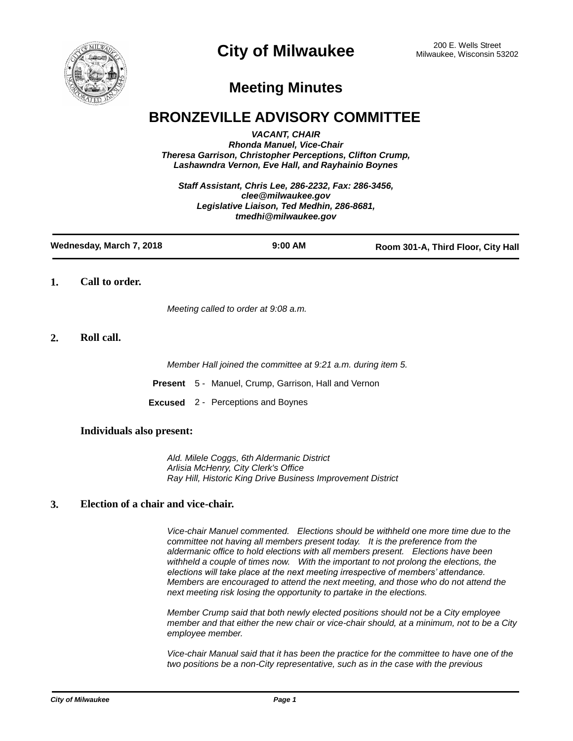

# **City of Milwaukee** 200 E. Wells Street 200 E. Wells Street

## **Meeting Minutes**

## **BRONZEVILLE ADVISORY COMMITTEE**

*VACANT, CHAIR Rhonda Manuel, Vice-Chair Theresa Garrison, Christopher Perceptions, Clifton Crump, Lashawndra Vernon, Eve Hall, and Rayhainio Boynes*

*Staff Assistant, Chris Lee, 286-2232, Fax: 286-3456, clee@milwaukee.gov Legislative Liaison, Ted Medhin, 286-8681, tmedhi@milwaukee.gov*

| Wednesday, March 7, 2018 | $9:00$ AM | Room 301-A, Third Floor, City Hall |
|--------------------------|-----------|------------------------------------|
|                          |           |                                    |

**1. Call to order.**

*Meeting called to order at 9:08 a.m.*

## **2. Roll call.**

*Member Hall joined the committee at 9:21 a.m. during item 5.*

**Present** 5 - Manuel, Crump, Garrison, Hall and Vernon

**Excused** 2 - Perceptions and Boynes

## **Individuals also present:**

*Ald. Milele Coggs, 6th Aldermanic District Arlisia McHenry, City Clerk's Office Ray Hill, Historic King Drive Business Improvement District*

## **3. Election of a chair and vice-chair.**

*Vice-chair Manuel commented. Elections should be withheld one more time due to the committee not having all members present today. It is the preference from the aldermanic office to hold elections with all members present. Elections have been withheld a couple of times now. With the important to not prolong the elections, the elections will take place at the next meeting irrespective of members' attendance. Members are encouraged to attend the next meeting, and those who do not attend the next meeting risk losing the opportunity to partake in the elections.*

*Member Crump said that both newly elected positions should not be a City employee member and that either the new chair or vice-chair should, at a minimum, not to be a City employee member.*

*Vice-chair Manual said that it has been the practice for the committee to have one of the two positions be a non-City representative, such as in the case with the previous*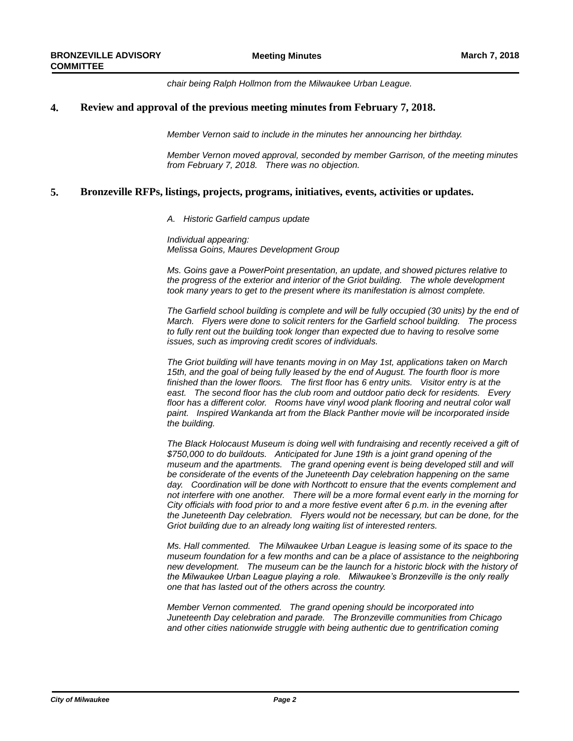*chair being Ralph Hollmon from the Milwaukee Urban League.*

## **4. Review and approval of the previous meeting minutes from February 7, 2018.**

*Member Vernon said to include in the minutes her announcing her birthday.*

*Member Vernon moved approval, seconded by member Garrison, of the meeting minutes from February 7, 2018. There was no objection.*

## **5. Bronzeville RFPs, listings, projects, programs, initiatives, events, activities or updates.**

*A. Historic Garfield campus update*

*Individual appearing: Melissa Goins, Maures Development Group*

*Ms. Goins gave a PowerPoint presentation, an update, and showed pictures relative to the progress of the exterior and interior of the Griot building. The whole development took many years to get to the present where its manifestation is almost complete.*

*The Garfield school building is complete and will be fully occupied (30 units) by the end of March. Flyers were done to solicit renters for the Garfield school building. The process*  to fully rent out the building took longer than expected due to having to resolve some *issues, such as improving credit scores of individuals.*

*The Griot building will have tenants moving in on May 1st, applications taken on March 15th, and the goal of being fully leased by the end of August. The fourth floor is more finished than the lower floors. The first floor has 6 entry units. Visitor entry is at the east. The second floor has the club room and outdoor patio deck for residents. Every*  floor has a different color. Rooms have vinyl wood plank flooring and neutral color wall *paint. Inspired Wankanda art from the Black Panther movie will be incorporated inside the building.*

*The Black Holocaust Museum is doing well with fundraising and recently received a gift of \$750,000 to do buildouts. Anticipated for June 19th is a joint grand opening of the museum and the apartments. The grand opening event is being developed still and will be considerate of the events of the Juneteenth Day celebration happening on the same day. Coordination will be done with Northcott to ensure that the events complement and not interfere with one another. There will be a more formal event early in the morning for City officials with food prior to and a more festive event after 6 p.m. in the evening after the Juneteenth Day celebration. Flyers would not be necessary, but can be done, for the Griot building due to an already long waiting list of interested renters.* 

*Ms. Hall commented. The Milwaukee Urban League is leasing some of its space to the museum foundation for a few months and can be a place of assistance to the neighboring new development. The museum can be the launch for a historic block with the history of the Milwaukee Urban League playing a role. Milwaukee's Bronzeville is the only really one that has lasted out of the others across the country.*

*Member Vernon commented. The grand opening should be incorporated into Juneteenth Day celebration and parade. The Bronzeville communities from Chicago and other cities nationwide struggle with being authentic due to gentrification coming*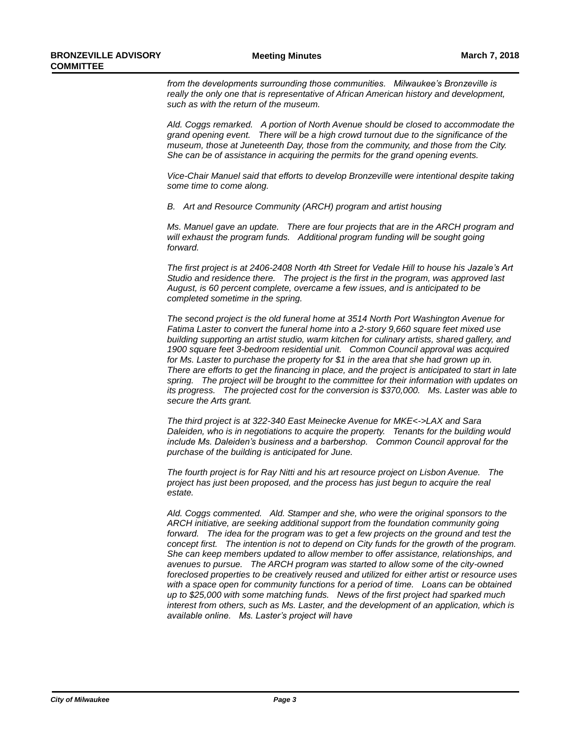*from the developments surrounding those communities. Milwaukee's Bronzeville is really the only one that is representative of African American history and development, such as with the return of the museum.*

*Ald. Coggs remarked. A portion of North Avenue should be closed to accommodate the grand opening event. There will be a high crowd turnout due to the significance of the museum, those at Juneteenth Day, those from the community, and those from the City. She can be of assistance in acquiring the permits for the grand opening events.*

*Vice-Chair Manuel said that efforts to develop Bronzeville were intentional despite taking some time to come along.*

*B. Art and Resource Community (ARCH) program and artist housing*

*Ms. Manuel gave an update. There are four projects that are in the ARCH program and*  will exhaust the program funds. Additional program funding will be sought going *forward.* 

*The first project is at 2406-2408 North 4th Street for Vedale Hill to house his Jazale's Art Studio and residence there. The project is the first in the program, was approved last August, is 60 percent complete, overcame a few issues, and is anticipated to be completed sometime in the spring.*

*The second project is the old funeral home at 3514 North Port Washington Avenue for Fatima Laster to convert the funeral home into a 2-story 9,660 square feet mixed use building supporting an artist studio, warm kitchen for culinary artists, shared gallery, and 1900 square feet 3-bedroom residential unit. Common Council approval was acquired*  for Ms. Laster to purchase the property for \$1 in the area that she had grown up in. *There are efforts to get the financing in place, and the project is anticipated to start in late spring. The project will be brought to the committee for their information with updates on its progress. The projected cost for the conversion is \$370,000. Ms. Laster was able to secure the Arts grant.*

*The third project is at 322-340 East Meinecke Avenue for MKE<->LAX and Sara Daleiden, who is in negotiations to acquire the property. Tenants for the building would include Ms. Daleiden's business and a barbershop. Common Council approval for the purchase of the building is anticipated for June.*

*The fourth project is for Ray Nitti and his art resource project on Lisbon Avenue. The project has just been proposed, and the process has just begun to acquire the real estate.*

*Ald. Coggs commented. Ald. Stamper and she, who were the original sponsors to the ARCH initiative, are seeking additional support from the foundation community going forward. The idea for the program was to get a few projects on the ground and test the concept first. The intention is not to depend on City funds for the growth of the program. She can keep members updated to allow member to offer assistance, relationships, and avenues to pursue. The ARCH program was started to allow some of the city-owned foreclosed properties to be creatively reused and utilized for either artist or resource uses with a space open for community functions for a period of time. Loans can be obtained up to \$25,000 with some matching funds. News of the first project had sparked much interest from others, such as Ms. Laster, and the development of an application, which is available online. Ms. Laster's project will have*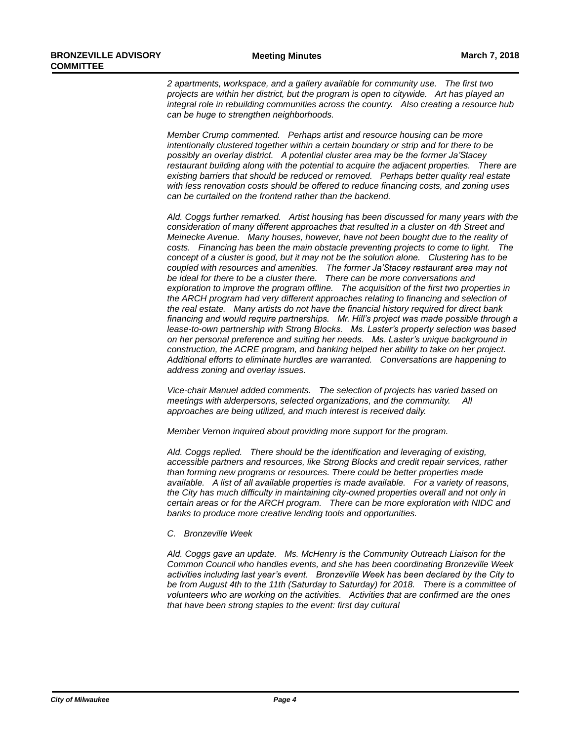*2 apartments, workspace, and a gallery available for community use. The first two projects are within her district, but the program is open to citywide. Art has played an integral role in rebuilding communities across the country. Also creating a resource hub can be huge to strengthen neighborhoods.*

*Member Crump commented. Perhaps artist and resource housing can be more intentionally clustered together within a certain boundary or strip and for there to be possibly an overlay district. A potential cluster area may be the former Ja'Stacey restaurant building along with the potential to acquire the adjacent properties. There are existing barriers that should be reduced or removed. Perhaps better quality real estate with less renovation costs should be offered to reduce financing costs, and zoning uses can be curtailed on the frontend rather than the backend.*

*Ald. Coggs further remarked. Artist housing has been discussed for many years with the consideration of many different approaches that resulted in a cluster on 4th Street and Meinecke Avenue. Many houses, however, have not been bought due to the reality of costs. Financing has been the main obstacle preventing projects to come to light. The concept of a cluster is good, but it may not be the solution alone. Clustering has to be coupled with resources and amenities. The former Ja'Stacey restaurant area may not be ideal for there to be a cluster there. There can be more conversations and exploration to improve the program offline. The acquisition of the first two properties in the ARCH program had very different approaches relating to financing and selection of the real estate. Many artists do not have the financial history required for direct bank financing and would require partnerships. Mr. Hill's project was made possible through a lease-to-own partnership with Strong Blocks. Ms. Laster's property selection was based on her personal preference and suiting her needs. Ms. Laster's unique background in construction, the ACRE program, and banking helped her ability to take on her project. Additional efforts to eliminate hurdles are warranted. Conversations are happening to address zoning and overlay issues.* 

*Vice-chair Manuel added comments. The selection of projects has varied based on meetings with alderpersons, selected organizations, and the community. All approaches are being utilized, and much interest is received daily.*

*Member Vernon inquired about providing more support for the program.*

*Ald. Coggs replied. There should be the identification and leveraging of existing, accessible partners and resources, like Strong Blocks and credit repair services, rather than forming new programs or resources. There could be better properties made available. A list of all available properties is made available. For a variety of reasons, the City has much difficulty in maintaining city-owned properties overall and not only in certain areas or for the ARCH program. There can be more exploration with NIDC and banks to produce more creative lending tools and opportunities.*

#### *C. Bronzeville Week*

*Ald. Coggs gave an update. Ms. McHenry is the Community Outreach Liaison for the Common Council who handles events, and she has been coordinating Bronzeville Week activities including last year's event. Bronzeville Week has been declared by the City to be from August 4th to the 11th (Saturday to Saturday) for 2018. There is a committee of volunteers who are working on the activities. Activities that are confirmed are the ones that have been strong staples to the event: first day cultural*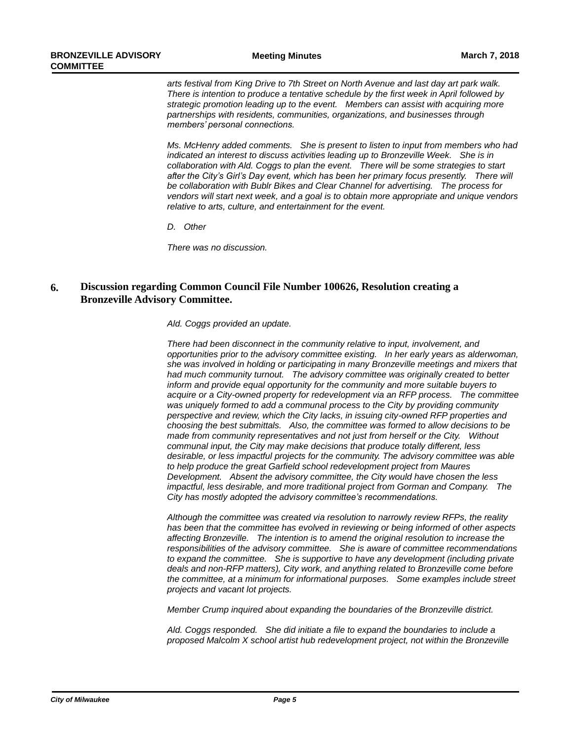*arts festival from King Drive to 7th Street on North Avenue and last day art park walk. There is intention to produce a tentative schedule by the first week in April followed by strategic promotion leading up to the event. Members can assist with acquiring more partnerships with residents, communities, organizations, and businesses through members' personal connections.*

*Ms. McHenry added comments. She is present to listen to input from members who had indicated an interest to discuss activities leading up to Bronzeville Week. She is in collaboration with Ald. Coggs to plan the event. There will be some strategies to start after the City's Girl's Day event, which has been her primary focus presently. There will be collaboration with Bublr Bikes and Clear Channel for advertising. The process for vendors will start next week, and a goal is to obtain more appropriate and unique vendors relative to arts, culture, and entertainment for the event.*

*D. Other*

*There was no discussion.*

#### **Discussion regarding Common Council File Number 100626, Resolution creating a Bronzeville Advisory Committee. 6.**

*Ald. Coggs provided an update.*

*There had been disconnect in the community relative to input, involvement, and opportunities prior to the advisory committee existing. In her early years as alderwoman, she was involved in holding or participating in many Bronzeville meetings and mixers that had much community turnout. The advisory committee was originally created to better inform and provide equal opportunity for the community and more suitable buyers to acquire or a City-owned property for redevelopment via an RFP process. The committee was uniquely formed to add a communal process to the City by providing community perspective and review, which the City lacks, in issuing city-owned RFP properties and choosing the best submittals. Also, the committee was formed to allow decisions to be made from community representatives and not just from herself or the City. Without communal input, the City may make decisions that produce totally different, less desirable, or less impactful projects for the community. The advisory committee was able to help produce the great Garfield school redevelopment project from Maures Development. Absent the advisory committee, the City would have chosen the less impactful, less desirable, and more traditional project from Gorman and Company. The City has mostly adopted the advisory committee's recommendations.*

*Although the committee was created via resolution to narrowly review RFPs, the reality has been that the committee has evolved in reviewing or being informed of other aspects affecting Bronzeville. The intention is to amend the original resolution to increase the responsibilities of the advisory committee. She is aware of committee recommendations to expand the committee. She is supportive to have any development (including private deals and non-RFP matters), City work, and anything related to Bronzeville come before the committee, at a minimum for informational purposes. Some examples include street projects and vacant lot projects.*

*Member Crump inquired about expanding the boundaries of the Bronzeville district.*

*Ald. Coggs responded. She did initiate a file to expand the boundaries to include a proposed Malcolm X school artist hub redevelopment project, not within the Bronzeville*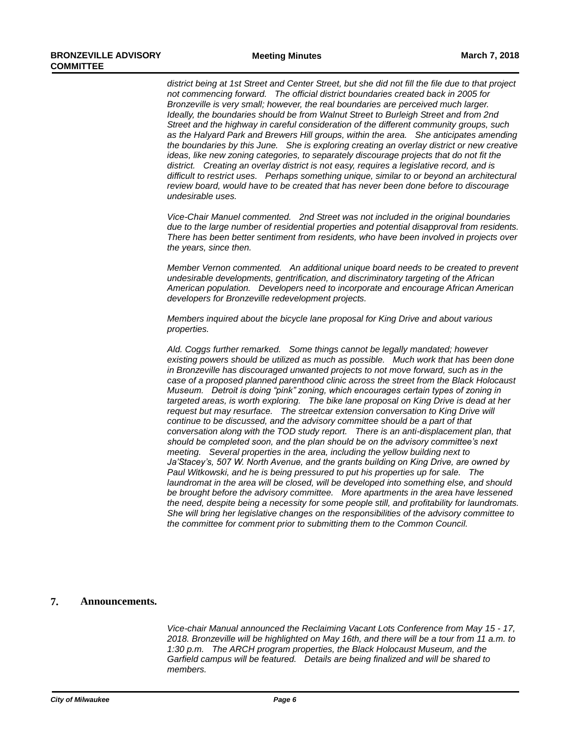*district being at 1st Street and Center Street, but she did not fill the file due to that project not commencing forward. The official district boundaries created back in 2005 for Bronzeville is very small; however, the real boundaries are perceived much larger. Ideally, the boundaries should be from Walnut Street to Burleigh Street and from 2nd Street and the highway in careful consideration of the different community groups, such as the Halyard Park and Brewers Hill groups, within the area. She anticipates amending the boundaries by this June. She is exploring creating an overlay district or new creative ideas, like new zoning categories, to separately discourage projects that do not fit the district. Creating an overlay district is not easy, requires a legislative record, and is difficult to restrict uses. Perhaps something unique, similar to or beyond an architectural review board, would have to be created that has never been done before to discourage undesirable uses.*

*Vice-Chair Manuel commented. 2nd Street was not included in the original boundaries due to the large number of residential properties and potential disapproval from residents. There has been better sentiment from residents, who have been involved in projects over the years, since then.*

*Member Vernon commented. An additional unique board needs to be created to prevent undesirable developments, gentrification, and discriminatory targeting of the African American population. Developers need to incorporate and encourage African American developers for Bronzeville redevelopment projects.*

*Members inquired about the bicycle lane proposal for King Drive and about various properties.*

*Ald. Coggs further remarked. Some things cannot be legally mandated; however existing powers should be utilized as much as possible. Much work that has been done in Bronzeville has discouraged unwanted projects to not move forward, such as in the case of a proposed planned parenthood clinic across the street from the Black Holocaust Museum. Detroit is doing "pink" zoning, which encourages certain types of zoning in targeted areas, is worth exploring. The bike lane proposal on King Drive is dead at her request but may resurface. The streetcar extension conversation to King Drive will continue to be discussed, and the advisory committee should be a part of that conversation along with the TOD study report. There is an anti-displacement plan, that should be completed soon, and the plan should be on the advisory committee's next meeting. Several properties in the area, including the yellow building next to Ja'Stacey's, 507 W. North Avenue, and the grants building on King Drive, are owned by Paul Witkowski, and he is being pressured to put his properties up for sale. The laundromat in the area will be closed, will be developed into something else, and should be brought before the advisory committee. More apartments in the area have lessened the need, despite being a necessity for some people still, and profitability for laundromats. She will bring her legislative changes on the responsibilities of the advisory committee to the committee for comment prior to submitting them to the Common Council.*

## **7. Announcements.**

*Vice-chair Manual announced the Reclaiming Vacant Lots Conference from May 15 - 17, 2018. Bronzeville will be highlighted on May 16th, and there will be a tour from 11 a.m. to 1:30 p.m. The ARCH program properties, the Black Holocaust Museum, and the Garfield campus will be featured. Details are being finalized and will be shared to members.*